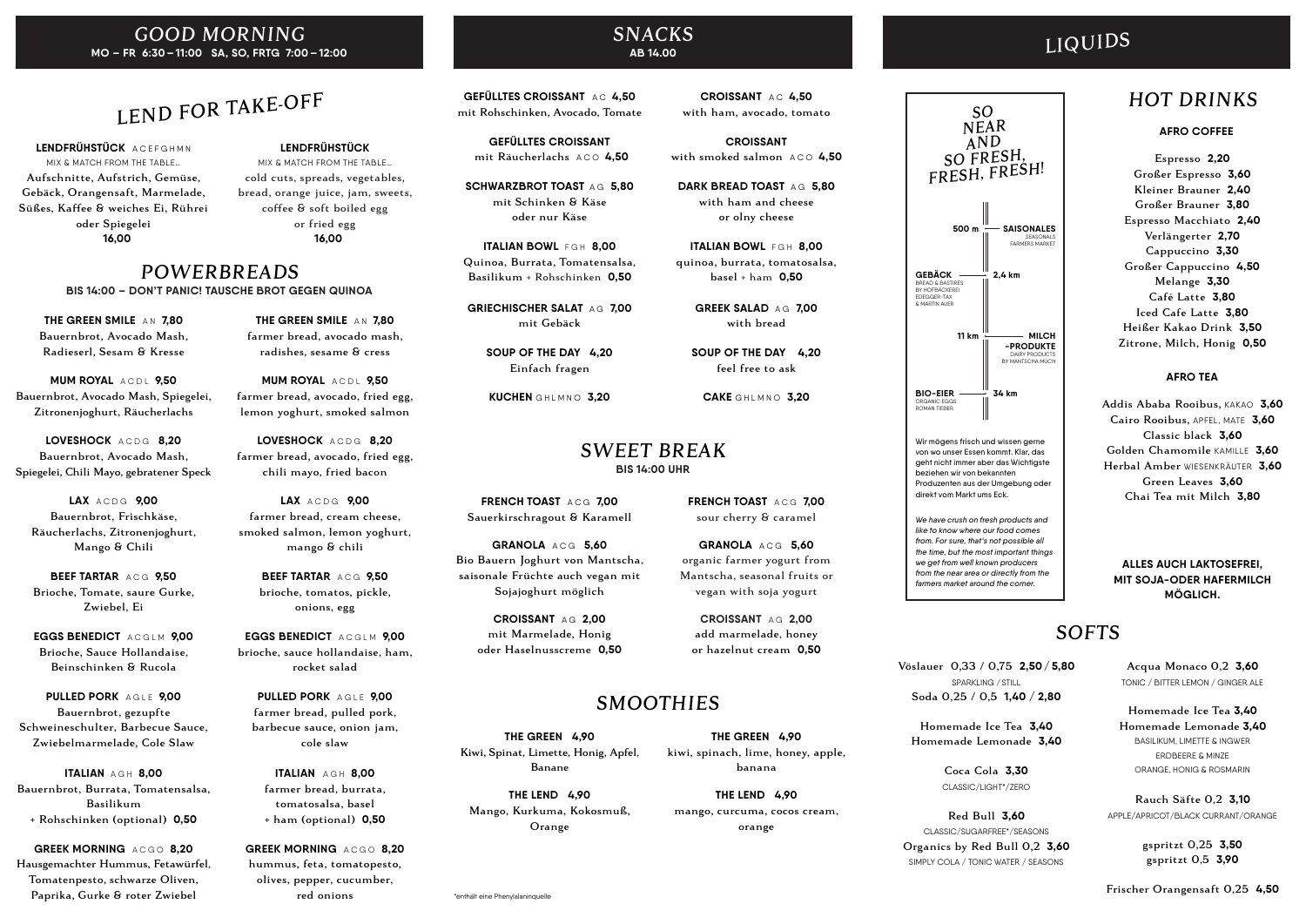## GOOD MORNING **MO – FR 6:30 – 11:00 SA, SO, FRTG 7:00 – 12:00**

## LEND FOR TAKE-OFF

**LENDFRÜHSTÜCK** A C E F G H M N MIX & MATCH FROM THE TABLE… Aufschnitte, Aufstrich, Gemüse, Gebäck, Orangensaft, Marmelade, Süßes, Kaffee & weiches Ei, Rührei oder Spiegelei **16,00**

**MUM ROYAL** ACDL 9.50 Bauernbrot, Avocado Mash, Spiegelei, Zitronenjoghurt, Räucherlachs

#### **LENDFRÜHSTÜCK** MIX & MATCH FROM THE TABLE… cold cuts, spreads, vegetables, bread, orange juice, jam, sweets, coffee & soft boiled egg or fried egg **16,00**

**BEEF TARTAR** ACG **9.50** Brioche, Tomate, saure Gurke, Zwiebel, Ei

**THE GREEN SMILE** A N **7,80** Bauernbrot, Avocado Mash, Radieserl, Sesam & Kresse

**GREEK MORNING** ACGO 8.20 Hausgemachter Hummus, Fetawürfel, Tomatenpesto, schwarze Oliven, Paprika, Gurke & roter Zwiebel

**LOVESHOCK** A C D G **8,20** Bauernbrot, Avocado Mash, Spiegelei, Chili Mayo, gebratener Speck

**MUM ROYAL** ACDL 9.50 farmer bread, avocado, fried egg, lemon yoghurt, smoked salmon

**LAX** A C D G **9,00** Bauernbrot, Frischkäse, Räucherlachs, Zitronenjoghurt, Mango & Chili

> **EGGS BENEDICT** ACGLM 9.00 brioche, sauce hollandaise, ham, rocket salad

**EGGS BENEDICT** A C G L M **9,00** Brioche, Sauce Hollandaise, Beinschinken & Rucola

**PULLED PORK** A G L E **9,00** Bauernbrot, gezupfte Schweineschulter, Barbecue Sauce, Zwiebelmarmelade, Cole Slaw

> **GREEK MORNING** ACGO 8.20 hummus, feta, tomatopesto, olives, pepper, cucumber, red onions

**GEFÜLLTES CROISSANT** AC 4.50 mit Rohschinken, Avocado, Tomate

**ITALIAN** A G H **8,00** Bauernbrot, Burrata, Tomatensalsa, Basilikum + Rohschinken (optional) **0,50**

**SCHWARZBROT TOAST AG 5.80** mit Schinken & Käse oder nur Käse

**ITALIAN BOWL FGH 8.00** Quinoa, Burrata, Tomatensalsa, Basilikum + Rohschinken **0,50**

**GRIECHISCHER SALAT AG 7.00** mit Gebäck

**CROISSANT** with smoked salmon ACO 4.50

**THE GREEN SMILE** A N **7,80** farmer bread, avocado mash, radishes, sesame & cress

**DARK BREAD TOAST AG 5.80** with ham and cheese or olny cheese

**ITALIAN BOWL FGH 8.00** quinoa, burrata, tomatosalsa, basel + ham **0,50**

**FRENCH TOAST** ACG 7.00 Sauerkirschragout & Karamell

**LOVESHOCK** A C D G **8,20** farmer bread, avocado, fried egg, chili mayo, fried bacon

**LAX** A C D G **9,00** farmer bread, cream cheese, smoked salmon, lemon yoghurt, mango & chili

> **BEEF TARTAR** A C G **9,50** brioche, tomatos, pickle, onions, egg

**PULLED PORK** A G L E **9,00** farmer bread, pulled pork, barbecue sauce, onion jam, cole slaw

**ITALIAN** A G H **8,00** farmer bread, burrata, tomatosalsa, basel + ham (optional) **0,50**

 SO NEAR AND<br>SO FRESH,

#### POWERBREADS **BIS 14:00 – DON'T PANIC! TAUSCHE BROT GEGEN QUINOA**

#### SNACKS **AB 14.00**

Wir mögens frisch und wissen gerne von wo unser Essen kommt. Klar, das geht nicht immer aber das Wichtigste beziehen wir von bekannten Produzenten aus der Umgebung oder direkt vom Markt ums Eck.

**GEFÜLLTES CROISSANT** mit Räucherlachs A C O **4,50**

**SOUP OF THE DAY 4,20** Einfach fragen

**KUCHEN GHLMNO 3.20** 

**CROISSANT** A C **4,50** with ham, avocado, tomato

> **GREEK SALAD** A G **7,00** with bread

**SOUP OF THE DAY 4,20** feel free to ask

**CAKE GHLMNO 3.20** 

**GRANOLA** A C G **5,60** Bio Bauern Joghurt von Mantscha, saisonale Früchte auch vegan mit Sojajoghurt möglich

> **CROISSANT** A G **2,00** mit Marmelade, Honig oder Haselnusscreme **0,50**

**FRENCH TOAST** A C G **7,00** sour cherry & caramel

**GRANOLA** A C G **5,60** organic farmer yogurt from Mantscha, seasonal fruits or vegan with soja yogurt

**CROISSANT** A G **2,00** add marmelade, honey or hazelnut cream **0,50**

## **BIS 14:00 UHR** SWEET BREAK

## LIQUIDS

Espresso **2,20**  Großer Espresso **3,60** Kleiner Brauner **2,40** Großer Brauner **3,80** Espresso Macchiato **2,40** Verlängerter **2,70** Cappuccino **3,30** Großer Cappuccino **4,50** Melange **3,30** Café Latte **3,80** Iced Cafe Latte **3,80** Heißer Kakao Drink **3,50** Zitrone, Milch, Honig **0,50**

#### **AFRO COFFEE**

Addis Ababa Rooibus, KAKAO **3,60** Cairo Rooibus, APFEL, MATE **3,60** Classic black **3,60** Golden Chamomile KAMILLE **3,60** Herbal Amber WIESENKRÄUTER **3,60** Green Leaves **3,60** Chai Tea mit Milch **3,80**

#### **AFRO TEA**

**ALLES AUCH LAKTOSEFREI, MIT SOJA-ODER HAFERMILCH MÖGLICH.**

## **SOFTS**

**MILCH -PRODUKTE** DAIRY PRODUCTS BY MANTSCHA MÜCH

**BIO-EIER** ORGANIC EGGS ROMAN TIEBER

**GEBÄCK** BREAD & BASTIRES BY HOFBÄCKEREI EDEGGER-TAX & MARTIN AUER

**SAISONALES** SEASONALS FARMERS MARKET

**2,4 km**

**11 km**

**500 m**

**34 km**



*We have crush on fresh products and like to know where our food comes from. For sure, that's not possible all the time, but the most important things we get from well known producers from the near area or directly from the farmers market around the corner.*

## HOT DRINKS

Vöslauer 0,33 / 0,75 **2,50 / 5,80** SPARKLING / STILL Soda 0,25 / 0,5 **1,40 / 2,80**

Homemade Ice Tea **3,40** Homemade Lemonade **3,40**

> Coca Cola **3,30** CLASSIC/LIGHT\*/ZERO

Red Bull **3,60** CLASSIC/SUGARFREE\*/SEASONS Organics by Red Bull 0,2 **3,60** SIMPLY COLA / TONIC WATER / SEASONS

Acqua Monaco 0,2 **3,60** TONIC / BITTER LEMON / GINGER ALE

Homemade Ice Tea **3,40** Homemade Lemonade **3,40** BASILIKUM, LIMETTE & INGWER ERDBEERE & MINZE ORANGE, HONIG & ROSMARIN

Rauch Säfte 0,2 **3,10** APPLE/APRICOT/BLACK CURRANT/ORANGE

> gspritzt 0,25 **3,50** gspritzt 0,5 **3,90**

Frischer Orangensaft 0,25 **4,50**

## SMOOTHIES

**THE GREEN 4,90** Kiwi, Spinat, Limette, Honig, Apfel, Banane

**THE LEND 4,90** Mango, Kurkuma, Kokosmuß, Orange

**THE GREEN 4,90** kiwi, spinach, lime, honey, apple,

banana

**THE LEND 4,90** mango, curcuma, cocos cream, orange

\*enthält eine Phenylalaninquelle